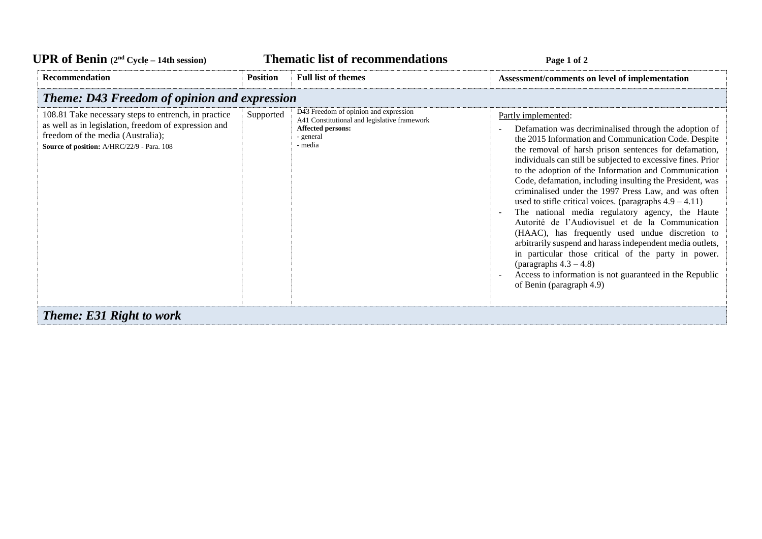| <b>UPR</b> of Benin $(2nd Cycle - 14th session)$                                                                                                                                                | <b>Thematic list of recommendations</b> |                                                                                                                                         | Page 1 of 2                                                                                                                                                                                                                                                                                                                                                                                                                                                                                                                                                                                                                                                                                                                                                                                                                                                                                                                 |
|-------------------------------------------------------------------------------------------------------------------------------------------------------------------------------------------------|-----------------------------------------|-----------------------------------------------------------------------------------------------------------------------------------------|-----------------------------------------------------------------------------------------------------------------------------------------------------------------------------------------------------------------------------------------------------------------------------------------------------------------------------------------------------------------------------------------------------------------------------------------------------------------------------------------------------------------------------------------------------------------------------------------------------------------------------------------------------------------------------------------------------------------------------------------------------------------------------------------------------------------------------------------------------------------------------------------------------------------------------|
| <b>Recommendation</b>                                                                                                                                                                           | <b>Position</b>                         | <b>Full list of themes</b>                                                                                                              | Assessment/comments on level of implementation                                                                                                                                                                                                                                                                                                                                                                                                                                                                                                                                                                                                                                                                                                                                                                                                                                                                              |
| <b>Theme: D43 Freedom of opinion and expression</b>                                                                                                                                             |                                         |                                                                                                                                         |                                                                                                                                                                                                                                                                                                                                                                                                                                                                                                                                                                                                                                                                                                                                                                                                                                                                                                                             |
| 108.81 Take necessary steps to entrench, in practice<br>as well as in legislation, freedom of expression and<br>freedom of the media (Australia);<br>Source of position: A/HRC/22/9 - Para. 108 | Supported                               | D43 Freedom of opinion and expression<br>A41 Constitutional and legislative framework<br><b>Affected persons:</b><br>general<br>- media | Partly implemented:<br>Defamation was decriminalised through the adoption of<br>the 2015 Information and Communication Code. Despite<br>the removal of harsh prison sentences for defamation,<br>individuals can still be subjected to excessive fines. Prior<br>to the adoption of the Information and Communication<br>Code, defamation, including insulting the President, was<br>criminalised under the 1997 Press Law, and was often<br>used to stifle critical voices. (paragraphs $4.9 - 4.11$ )<br>The national media regulatory agency, the Haute<br>Autorité de l'Audiovisuel et de la Communication<br>(HAAC), has frequently used undue discretion to<br>arbitrarily suspend and harass independent media outlets,<br>in particular those critical of the party in power.<br>(paragraphs $4.3 - 4.8$ )<br>Access to information is not guaranteed in the Republic<br>$\blacksquare$<br>of Benin (paragraph 4.9) |
| <b>Theme: E31 Right to work</b>                                                                                                                                                                 |                                         |                                                                                                                                         |                                                                                                                                                                                                                                                                                                                                                                                                                                                                                                                                                                                                                                                                                                                                                                                                                                                                                                                             |